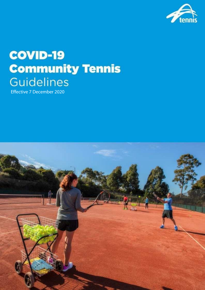

# **COVID-19 Community Tennis Guidelines**



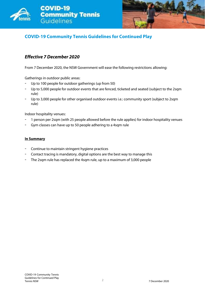



## **COVID-19 Community Tennis Guidelines for Continued Play**

### *Effective 7 December 2020*

From 7 December 2020, the NSW Government will ease the following restrictions allowing:

Gatherings in outdoor public areas:

- Up to 100 people for outdoor gatherings (up from 50)
- Up to 5,000 people for outdoor events that are fenced, ticketed and seated (subject to the 2sqm rule)
- Up to 3,000 people for other organised outdoor events i.e.: community sport (subject to 2sqm rule)

Indoor hospitality venues:

- 1 person per 2sqm (with 25 people allowed before the rule applies) for indoor hospitality venues
- Gym classes can have up to 50 people adhering to a 4sqm rule

#### **In Summary**

- Continue to maintain stringent hygiene practices
- Contact tracing is mandatory, digital options are the best way to manage this
- The 2sqm rule has replaced the 4sqm rule, up to a maximum of 3,000 people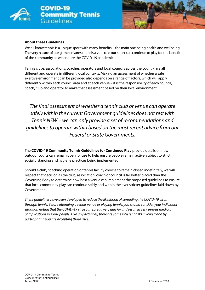

**COVID-19 Community Tennis Guidelines** 



#### **About these Guidelines**

We all know tennis is a unique sport with many benefits – the main one being health and wellbeing. The very nature of our game ensures there is a vital role our sport can continue to play for the benefit of the community as we endure the COVID-19pandemic.

Tennis clubs, associations, coaches, operators and local councils across the country are all different and operate in different local contexts. Making an assessment of whether a safe exercise environment can be provided also depends on a range of factors, which will apply differently within each council area and at each venue – it is the responsibility of each council, coach, club and operator to make that assessment based on their local environment.

*The final assessment of whether a tennis club or venue can operate safely within the current Government guidelines does not rest with Tennis NSW – we can only provide a set of recommendations and guidelines to operate within based on the most recent advice from our Federal or State Governments.*

The **COVID-19 Community Tennis Guidelines for Continued Play** provide details on how outdoor courts can remain open for use to help ensure people remain active, subject to strict social distancing and hygiene practices being implemented.

Should a club, coaching operation or tennis facility choose to remain closed indefinitely, we will respect that decision as the club, association, coach or council is far better placed than the Governing Body to determine how best a venue can implement the proposed guidelines to ensure that local community play can continue safely and within the ever stricter guidelines laid down by Government.

*These guidelines have been developed to reduce the likelihood of spreading the COVID-19 virus through tennis. Before attending a tennis venue or playing tennis, you should consider your individual situation noting that the COVID-19 virus can spread very quickly and result in very serious medical complications in some people. Like any activities, there are some inherent risks involved and by participating you are accepting those risks.*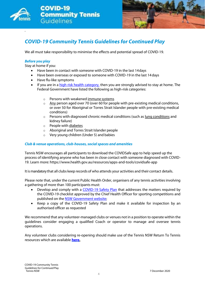

*.*

**COVID-19 Community Tennis Guidelines** 



# *COVID-19 Community Tennis Guidelines for Continued Play*

We all must take responsibility to minimise the effects and potential spread of COVID-19.

#### *Before you play*

Stay at home if you:

- Have been in contact with someone with COVID-19 in the last 14days
- Have been overseas or exposed to someone with COVID-19 in the last 14days
- Have flu-like symptoms
- If you are in [a high risk health category,](https://www.healthdirect.gov.au/coronavirus-covid-19-groups-at-higher-risk-faqs) then you are strongly advised to stay at home. The Federal Government have listed the following as high-risk categories:
	- o Persons with weakene[d immune](https://www.healthdirect.gov.au/immune-system) systems
	- o [Any](https://www.healthdirect.gov.au/coronavirus-covid-19-information-for-older-australians-faqs) person aged over 70 (over 60 for people with pre-existing medical conditions, or over 50 for Aboriginal or Torres Strait Islander people with pre-existing medical conditions)
	- $\circ$  Persons with diagnosed chronic medical conditions (such a[s lung conditions](https://www.healthdirect.gov.au/lung-conditions) and kidney failure)
	- o People with [diabetes](https://www.healthdirect.gov.au/diabetes)
	- o Aboriginal and Torres Strait Islander people
	- o Very young children (Under 5) and babies

#### *Club & venue operations, club-houses, social spaces and amenities*

Tennis NSW encourages all participants to download the COVIDSafe app to help speed up the process of identifying anyone who has been in close contact with someone diagnosed with COVID-19. Learn more: http[s://www.health.gov.au/resources/apps-and-tools/covidsafe-app](http://www.health.gov.au/resources/apps-and-tools/covidsafe-app)

It is mandatory that all clubs keep records of who attends your activities and their contact details.

Please note that, under the current Public Health Order, organisers of any tennis activities involving a gathering of more than 100 participants must:

- Develop and comply with a [COVID-19 Safety Plan t](https://www.nsw.gov.au/form/covid-safety-plan/community-sporting-competitions-and-full-training-activities)hat addresses the matters required by the COVID-19 checklist approved by the Chief Health Officer for sporting competitions and published on the [NSW Government](https://www.nsw.gov.au/) website;
- Keep a copy of the COVID-19 Safety Plan and make it available for inspection by an authorised officer as requested

We recommend that any volunteer-managed clubs or venues not in a position to operate within the guidelines consider engaging a qualified Coach or operator to manage and oversee tennis operations.

Any volunteer clubs considering re-opening should make use of the Tennis NSW Return To Tennis resources which are available **[here.](https://www.tennis.com.au/nsw/clubs/covidresources/club-readiness)**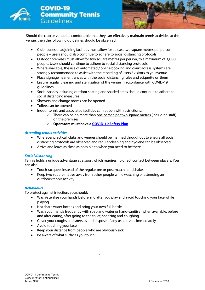



Should the club or venue be comfortable that they can effectively maintain tennis activities at the venue, then the following guidelines should be observed:

- Clubhouses or adjoining facilities must allow for at leasttwo square metres per person people – users should also continue to adhere to social distancing protocols
- Outdoor premises must allow for two square metres per person, to a maximum of **3,000**  people. Users should continue to adhere to social distancing protocols
- Where available, the use of automated / online booking and court access systems are strongly recommended to assist with the recording of users / visitors to yourvenue
- Place signage near entrances with the social distancing rules and etiquette onthem
- Ensure regular cleaning and sterilization of the venue in accordance with COVID-19 guidelines
- Social spaces including outdoor seating and shaded areas should continue to adhere to social distancing measures
- Showers and change rooms can be opened
- Toilets can be opened
- Indoor tennis and associated facilities can reopen with restrictions:
	- o There can be no more than one person per two square metres (including staff) on the premises
	- o **Operators must have a [COVID-19 Safety](https://www.nsw.gov.au/form/covid-safety-plan/community-sporting-competitions-and-full-training-activities) Plan**

#### *Attending tennis activities*

- Wherever practical, clubs and venues should be manned throughout to ensure all social distancing protocols are observed and regular cleaning and hygiene can be observed
- Arrive and leave as close as possible to when you need to be there

#### *Social distancing*

Tennis holds a unique advantage as a sport which requires no direct contact between players. You can also:

- Touch racquets instead of the regular pre or post match handshakes
- Keep two square metres away from other people while watching or attending an outdoors tennis activity.

#### *Behaviours*

To protect against infection, youshould:

- Wash/sterilise your hands before and after you play and avoid touching your face while playing
- Not share water bottles and bring your own full bottle
- Wash your hands frequently with soap and water or hand-sanitiser when available, before and after eating, after going to the toilet, sneezing and coughing
- Cover your coughs and sneezes and dispose of any used tissue immediately
- Avoid touching your face
- Keep your distance from people who are obviously sick
- Be aware of what surfaces you touch.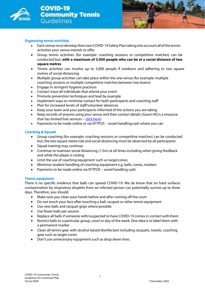



#### *Organising tennis activities*

- Each venue must develop their own COVID-19 Safety Plan taking into account all of the tennis activities your venue intends to offer
- Group tennis activities (for example: coaching sessions or competitive matches) can be conducted but, **with a maximum of 3,000 people who can be at a social distance of two square metres**
- Tennis activities can involve up to 3,000 people if outdoors and adhering to two square metres of social distancing
- Multiple group activities can take place within the one venue (for example: multiple coaching sessions or multiple competitive matches between two teams)
- Engage in stringent hygiene practices
- Contact trace all individuals that attend your event
- Promote prevention techniques and lead by example
- Implement ways to minimise contact for both participants and coaching staff
- Plan for increased levels of staff/volunteer absences
- Keep your team and your participants informed of the actions you are taking
- Keep records of anyone using your venue and their contact details (Guest HQ is a resource that has limited free services – click [here\)](https://www.guesthq.com.au/entry)
- Payments to be made online or via EFTPOS avoid handlingcash where you can

#### *Coaching & Squads*

- Group coaching (for example: coaching sessions or competitive matches) can be conducted but, the two square metre rule and social distancing must be observed by all participants
- Squad training may continue
- Continue to maintain social distancing (1.5m) at all times including when giving feedback and while the player is resting
- Limit the use of coaching equipment such as target cones
- Minimise student handling of coaching equipment e.g. balls, cones, markers
- Payments to be made online via EFTPOS avoid handling cash.

#### *Tennis equipment*

There is no specific evidence that balls can spread COVID-19. We do know that on hard surfaces contamination by respiratory droplets from an infected person can potentially survive up to three days. Therefore, you should:

- Make sure you clean your hands before and after coming off the court
- Do not touch your face after touching a ball, racquet or other tennis equipment
- Use new balls and racquet grips where possible
- Use fewer balls per session
- Replace all balls if someone with/suspected to have COVID-19 comes in contact with them
- Restrict balls to a particular group, court or day of the week. One idea is to label them with a permanent marker
- Clean all tennis gear with alcohol-based disinfectant including racquets, towels, coaching gear such as target cones
- Don't use unnecessary equipment such as drop down lines.